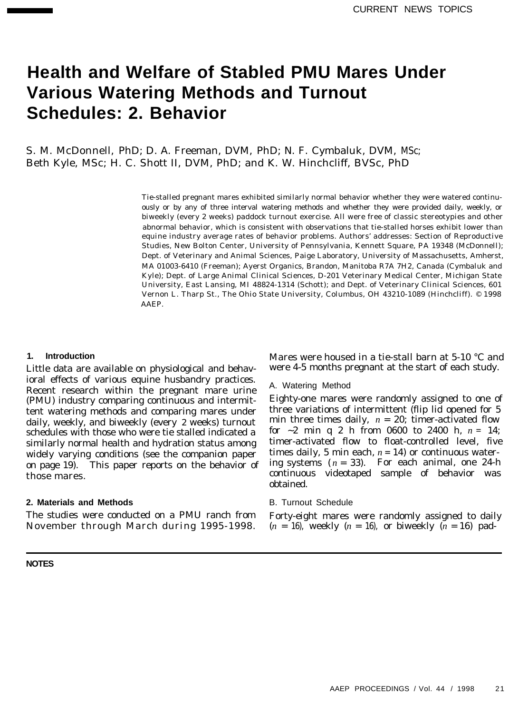# **Health and Welfare of Stabled PMU Mares Under Various Watering Methods and Turnout Schedules: 2. Behavior**

S. M. McDonnell, PhD; D. A. Freeman, DVM, PhD; N. F. Cymbaluk, DVM, MSc; Beth Kyle, MSc; H. C. Shott II, DVM, PhD; and K. W. Hinchcliff, BVSc, PhD

> Tie-stalled pregnant mares exhibited similarly normal behavior whether they were watered continuously or by any of three interval watering methods and whether they were provided daily, weekly, or biweekly (every 2 weeks) paddock turnout exercise. All were free of classic stereotypies and other abnormal behavior, which is consistent with observations that tie-stalled horses exhibit lower than equine industry average rates of behavior problems. Authors' addresses: Section of Reproductive Studies, New Bolton Center, University of Pennsylvania, Kennett Square, PA 19348 (McDonnell); Dept. of Veterinary and Animal Sciences, Paige Laboratory, University of Massachusetts, Amherst, MA 01003-6410 (Freeman); Ayerst Organics, Brandon, Manitoba R7A 7H2, Canada (Cymbaluk and Kyle); Dept. of Large Animal Clinical Sciences, D-201 Veterinary Medical Center, Michigan State University, East Lansing, MI 48824-1314 (Schott); and Dept. of Veterinary Clinical Sciences, 601 Vernon L. Tharp St., The Ohio State University, Columbus, OH 43210-1089 (Hinchcliff). © 1998 AAEP.

#### **1. Introduction**

Little data are available on physiological and behavioral effects of various equine husbandry practices. Recent research within the pregnant mare urine (PMU) industry comparing continuous and intermittent watering methods and comparing mares under daily, weekly, and biweekly (every 2 weeks) turnout schedules with those who were tie stalled indicated a similarly normal health and hydration status among widely varying conditions (see the companion paper on page 19). This paper reports on the behavior of those mares.

#### **2. Materials and Methods**

The studies were conducted on a PMU ranch from November through March during 1995-1998.

**NOTES**

Mares were housed in a tie-stall barn at 5-10 °C and were 4-5 months pregnant at the start of each study.

#### A. Watering Method

Eighty-one mares were randomly assigned to one of three variations of intermittent (flip lid opened for 5 min three times daily,  $n = 20$ ; timer-activated flow for  $\sim$ 2 min q 2 h from 0600 to 2400 h,  $n = 14$ ; timer-activated flow to float-controlled level, five times daily, 5 min each,  $n = 14$ ) or continuous watering systems  $(n = 33)$ . For each animal, one 24-h continuous videotaped sample of behavior was obtained.

#### B. Turnout Schedule

Forty-eight mares were randomly assigned to daily  $(n = 16)$ , weekly  $(n = 16)$ , or biweekly  $(n = 16)$  pad-